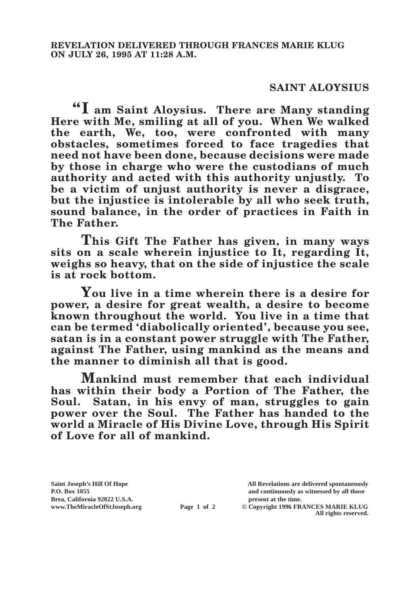## **SAINT ALOYSIUS**

**"I am Saint Aloysius. There are Many standing Here with Me, smiling at all of you. When We walked the earth, We, too, were confronted with many obstacles, sometimes forced to face tragedies that need not have been done, because decisions were made by those in charge who were the custodians of much authority and acted with this authority unjustly. To be a victim of unjust authority is never a disgrace, but the injustice is intolerable by all who seek truth, sound balance, in the order of practices in Faith in The Father.**

**This Gift The Father has given, in many ways sits on a scale wherein injustice to It, regarding It, weighs so heavy, that on the side of injustice the scale is at rock bottom.**

**You live in a time wherein there is a desire for power, a desire for great wealth, a desire to become known throughout the world. You live in a time that can be termed 'diabolically oriented', because you see, satan is in a constant power struggle with The Father, against The Father, using mankind as the means and the manner to diminish all that is good.**

**Mankind must remember that each individual has within their body a Portion of The Father, the Soul. Satan, in his envy of man, struggles to gain power over the Soul. The Father has handed to the world a Miracle of His Divine Love, through His Spirit of Love for all of mankind.**

**Brea, California 92822 U.S.A. present at the time.**<br> **present at the time.**<br> **present at the time.**<br> **present at the time.**<br> **present at the time.**<br> **present at the time.** 

**Saint Joseph's Hill Of Hope All Revelations are delivered spontaneously P.O. Box 1055 and continuously as witnessed by all those** 

**Page 1 of 2** © Copyright 1996 FRANCES MARIE KLUG **All rights reserved.**